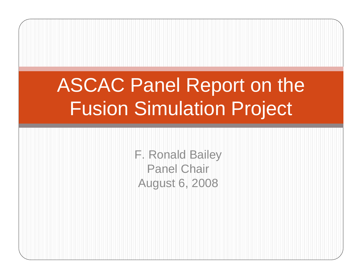# ASCAC Panel Report on the Fusion Simulation Project

F. Ronald Bailey Panel Chair August 6, 2008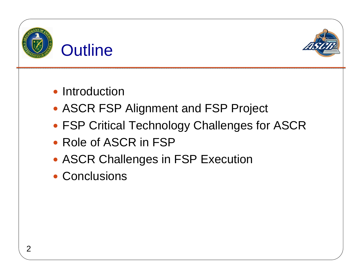



- Introduction
- ASCR FSP Alignment and FSP Project
- FSP Critical Technology Challenges for ASCR
- Role of ASCR in FSP
- ASCR Challenges in FSP Execution
- Conclusions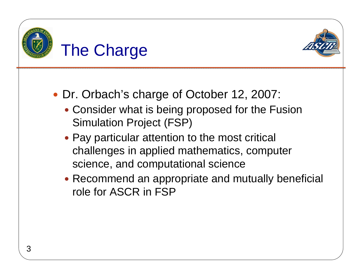



- Dr. Orbach's charge of October 12, 2007:
	- Consider what is being proposed for the Fusion Simulation Project (FSP)
	- Pay particular attention to the most critical challenges in applied mathematics, computer science, and computational science
	- Recommend an appropriate and mutually beneficial role for ASCR in FSP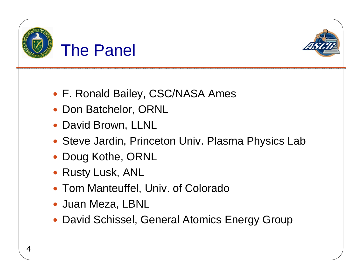



- F. Ronald Bailey, CSC/NASA Ames
- Don Batchelor, ORNL
- David Brown, LLNL
- Steve Jardin, Princeton Univ. Plasma Physics Lab
- Doug Kothe, ORNL
- Rusty Lusk, ANL
- Tom Manteuffel, Univ. of Colorado
- Juan Meza, LBNL
- David Schissel, General Atomics Energy Group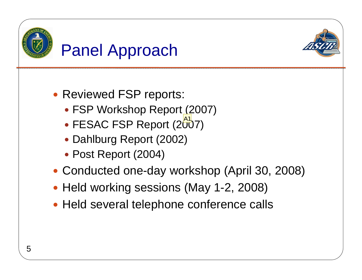

### Panel Approach



- Reviewed FSP reports:
	- FSP Workshop Report (2007)
	- FESAC FSP Report (2007) A1
	- Dahlburg Report (2002)
	- Post Report (2004)
- Conducted one-day workshop (April 30, 2008)
- Held working sessions (May 1-2, 2008)
- Held several telephone conference calls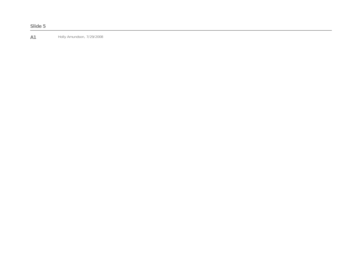**A1 Holly Amundson, 7/29/2008**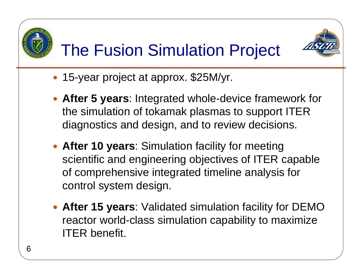



## The Fusion Simulation Project

- 15-year project at approx. \$25M/yr.
- **After 5 years: Integrated whole-device framework for** the simulation of tokamak plasmas to support ITER diagnostics and design, and to review decisions.
- **After 10 years: Simulation facility for meeting** scientific and engineering objectives of ITER capable of comprehensive integrated timeline analysis for control system design.
- **After 15 years: Validated simulation facility for DEMO** reactor world-class simulation capability to maximize ITER benefit.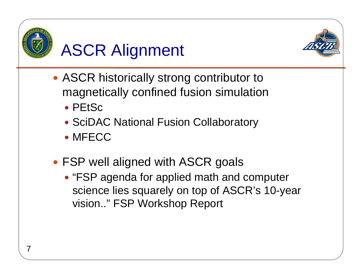

## ASCR Alignment



- ASCR historically strong contributor to magnetically confined fusion simulation
	- PEtSc
	- SciDAC National Fusion Collaboratory
	- MFECC
- FSP well aligned with ASCR goals
	- "FSP agenda for applied math and computer science lies squarely on top of ASCR's 10-year vision.." FSP Workshop Report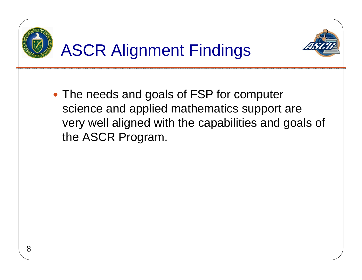

• The needs and goals of FSP for computer science and applied mathematics support are very well aligned with the capabilities and goals of the ASCR Program.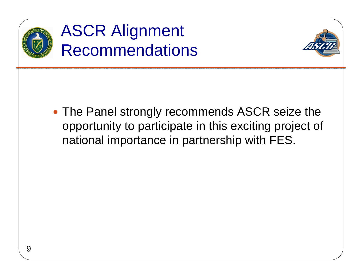

### **ASCR Alignment** Recommendations



• The Panel strongly recommends ASCR seize the opportunity to participate in this exciting project of national importance in partnership with FES.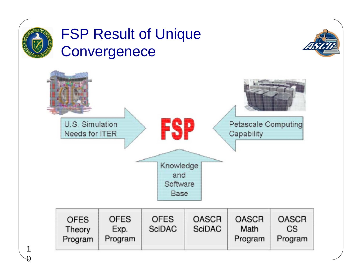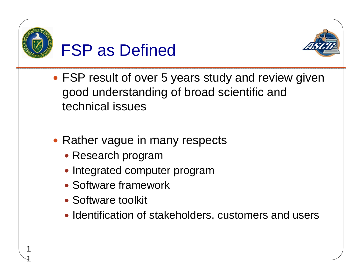

1

### FSP as Defined



- FSP result of over 5 years study and review given good understanding of broad scientific and technical issues
- Rather vague in many respects
	- Research program
	- Integrated computer program
	- Software framework
	- Software toolkit
	- Identification of stakeholders, customers and users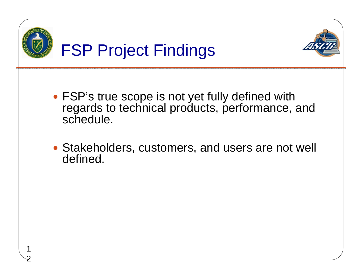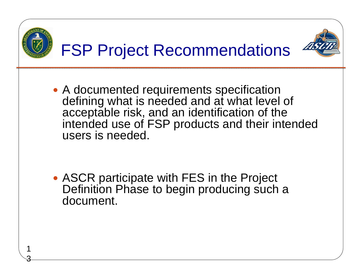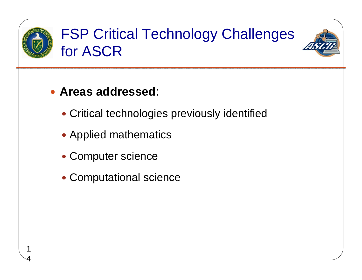

4

#### FSP Critical Technology Challenges for ASCR



#### **• Areas addressed:**

- Critical technologies previously identified
- Applied mathematics
- Computer science
- Computational science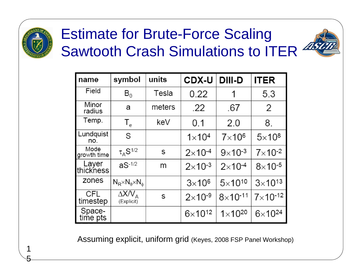

#### Estimate for Brute-Force Scaling Sawtooth Crash Simulations to ITER  $^{22}$



Assuming explicit, uniform grid (Keyes, 2008 FSP Panel Workshop)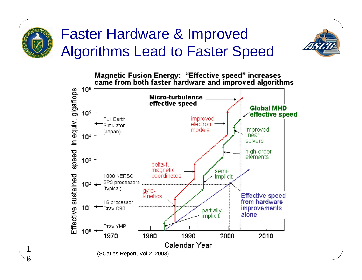

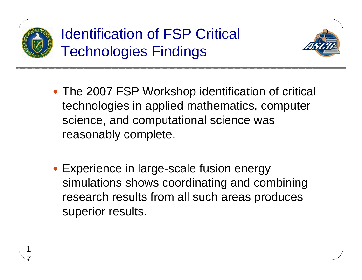

7

### Identification of FSP Critical Technologies Findings



- The 2007 FSP Workshop identification of critical technologies in applied mathematics, computer science, and computational science was reasonably complete.
- Experience in large-scale fusion energy simulations shows coordinating and combining research results from all such areas produces superior results.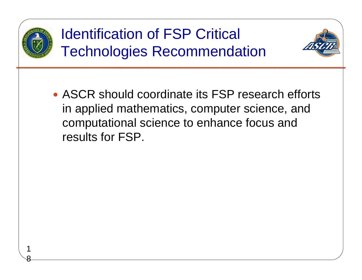

8

Identification of FSP Critical Technologies Recommendation



• ASCR should coordinate its FSP research efforts in applied mathematics, computer science, and computational science to enhance focus and results for FSP.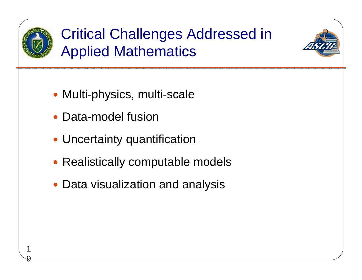

9

### Critical Challenges Addressed in Applied Mathematics



- Multi-physics, multi-scale
- Data-model fusion
- Uncertainty quantification
- Realistically computable models
- Data visualization and analysis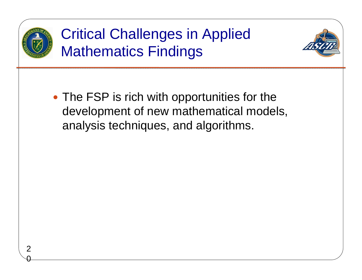

0

### Critical Challenges in Applied Mathematics Findings



• The FSP is rich with opportunities for the development of new mathematical models, analysis techniques, and algorithms.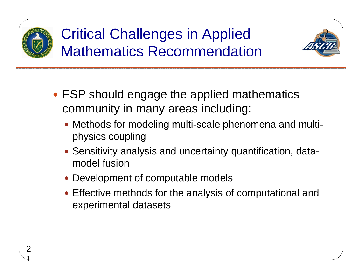

#### Critical Challenges in Applied Mathematics Recommendation



- FSP should engage the applied mathematics community in many areas including:
	- Methods for modeling multi-scale phenomena and multiphysics coupling
	- Sensitivity analysis and uncertainty quantification, datamodel fusion
	- Development of computable models
	- Effective methods for the analysis of computational and experimental datasets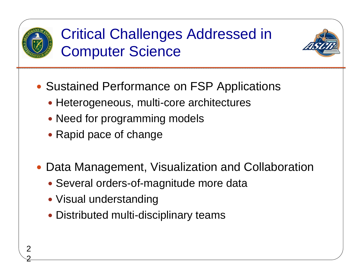

2

#### Critical Challenges Addressed in Computer Science



- Sustained Performance on FSP Applications
	- Heterogeneous, multi-core architectures
	- Need for programming models
	- Rapid pace of change
- Data Management, Visualization and Collaboration
	- Several orders-of-magnitude more data
	- Visual understanding
	- Distributed multi-disciplinary teams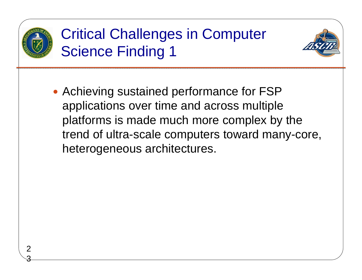

#### Critical Challenges in Computer Science Finding 1



• Achieving sustained performance for FSP applications over time and across multiple platforms is made much more complex by the trend of ultra-scale computers toward many-core, heterogeneous architectures.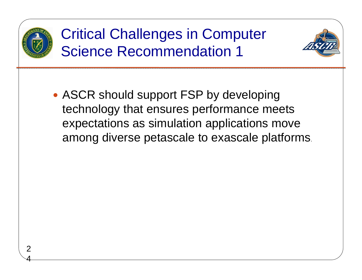

#### Critical Challenges in Computer Science Recommendation 1



• ASCR should support FSP by developing technology that ensures performance meets expectations as simulation applications move among diverse petascale to exascale platforms.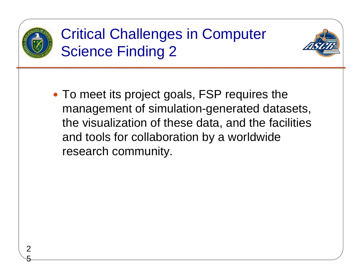

5

#### Critical Challenges in Computer Science Finding 2



• To meet its project goals, FSP requires the management of simulation-generated datasets, the visualization of these data, and the facilities and tools for collaboration by a worldwide research community.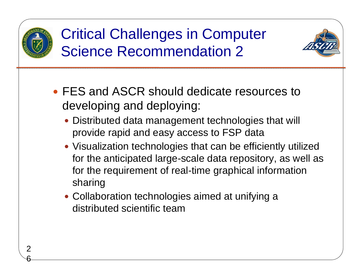

6

#### Critical Challenges in Computer Science Recommendation 2



- FES and ASCR should dedicate resources to developing and deploying:
	- Distributed data management technologies that will provide rapid and easy access to FSP data
	- Visualization technologies that can be efficiently utilized for the anticipated large-scale data repository, as well as for the requirement of real-time graphical information sharing
	- Collaboration technologies aimed at unifying a distributed scientific team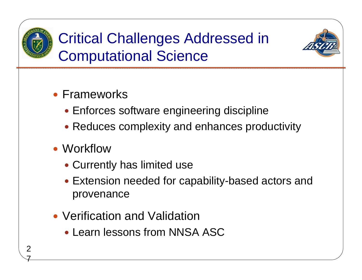

Critical Challenges Addressed in Computational Science



- Frameworks
	- Enforces software engineering discipline
	- Reduces complexity and enhances productivity
- Workflow
	- Currently has limited use
	- Extension needed for capability-based actors and provenance
- Verification and Validation
	- Learn lessons from NNSA ASC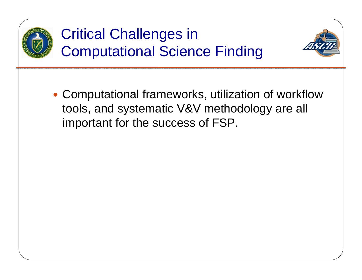

#### Critical Challenges in Computational Science Finding



• Computational frameworks, utilization of workflow tools, and systematic V&V methodology are all important for the success of FSP.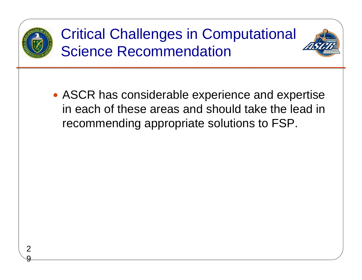

### Critical Challenges in Computational Science Recommendation



• ASCR has considerable experience and expertise in each of these areas and should take the lead in recommending appropriate solutions to FSP.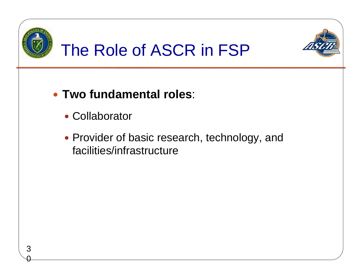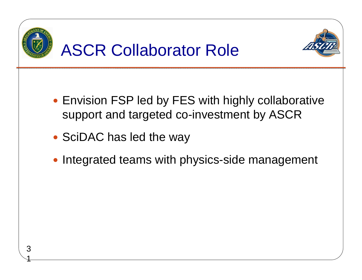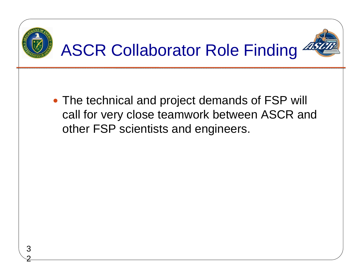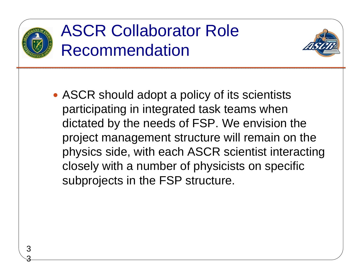

### ASCR Collaborator Role Recommendation



• ASCR should adopt a policy of its scientists participating in integrated task teams when dictated by the needs of FSP. We envision the project management structure will remain on the physics side, with each ASCR scientist interacting closely with a number of physicists on specific subprojects in the FSP structure.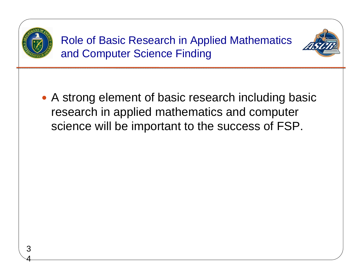

4

Role of Basic Research in Applied Mathematics and Computer Science Finding



• A strong element of basic research including basic research in applied mathematics and computer science will be important to the success of FSP.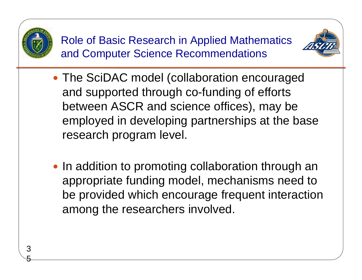

5

Role of Basic Research in Applied Mathematics and Computer Science Recommendations



- The SciDAC model (collaboration encouraged and supported through co-funding of efforts between ASCR and science offices), may be employed in developing partnerships at the base research program level.
- In addition to promoting collaboration through an appropriate funding model, mechanisms need to be provided which encourage frequent interaction among the researchers involved.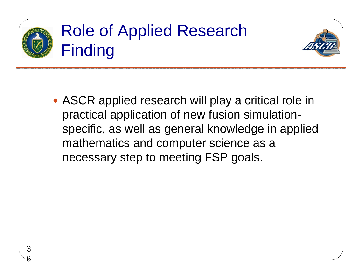

### Role of Applied Research **Finding**



• ASCR applied research will play a critical role in practical application of new fusion simulationspecific, as well as general knowledge in applied mathematics and computer science as a necessary step to meeting FSP goals.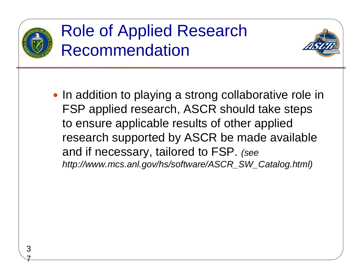

### Role of Applied Research Recommendation



• In addition to playing a strong collaborative role in FSP applied research, ASCR should take steps to ensure applicable results of other applied research supported by ASCR be made available and if necessary, tailored to FSP. *(see http://www.mcs.anl.gov/hs/software/ASCR\_SW\_Catalog.html)*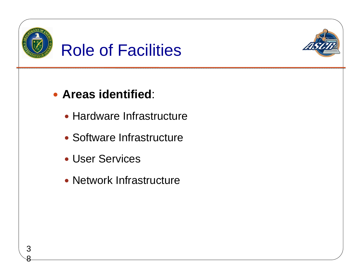



- y **Areas identified**:
	- Hardware Infrastructure
	- Software Infrastructure
	- User Services

8

• Network Infrastructure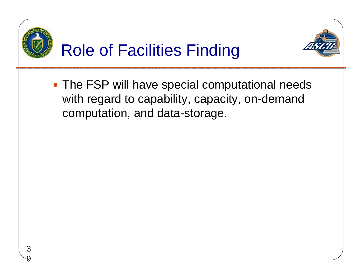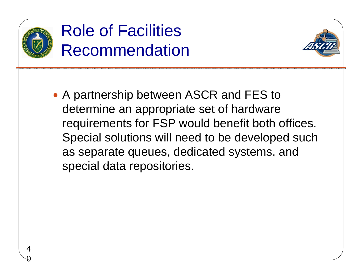

0

### Role of Facilities Recommendation



• A partnership between ASCR and FES to determine an appropriate set of hardware requirements for FSP would benefit both offices. Special solutions will need to be developed such as separate queues, dedicated systems, and special data repositories.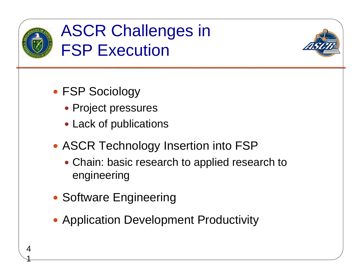

1

### ASCR Challenges in **FSP Execution**



- FSP Sociology
	- Project pressures
	- Lack of publications
- ASCR Technology Insertion into FSP
	- Chain: basic research to applied research to engineering
- Software Engineering
- Application Development Productivity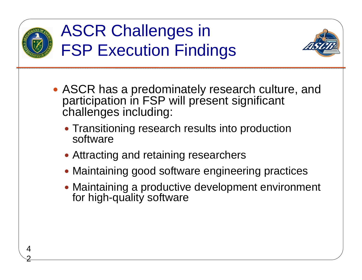

2

### ASCR Challenges in FSP Execution Findings



- ASCR has a predominately research culture, and participation in FSP will present significant challenges including:
	- Transitioning research results into production software
	- Attracting and retaining researchers
	- Maintaining good software engineering practices
	- Maintaining a productive development environment for high-quality software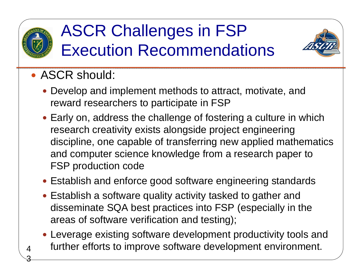

3

### ASCR Challenges in FSP Execution Recommendations



- ASCR should:
	- Develop and implement methods to attract, motivate, and reward researchers to participate in FSP
	- Early on, address the challenge of fostering a culture in which research creativity exists alongside project engineering discipline, one capable of transferring new applied mathematics and computer science knowledge from a research paper to FSP production code
	- Establish and enforce good software engineering standards
	- Establish a software quality activity tasked to gather and disseminate SQA best practices into FSP (especially in the areas of software verification and testing);
	- Leverage existing software development productivity tools and further efforts to improve software development environment.